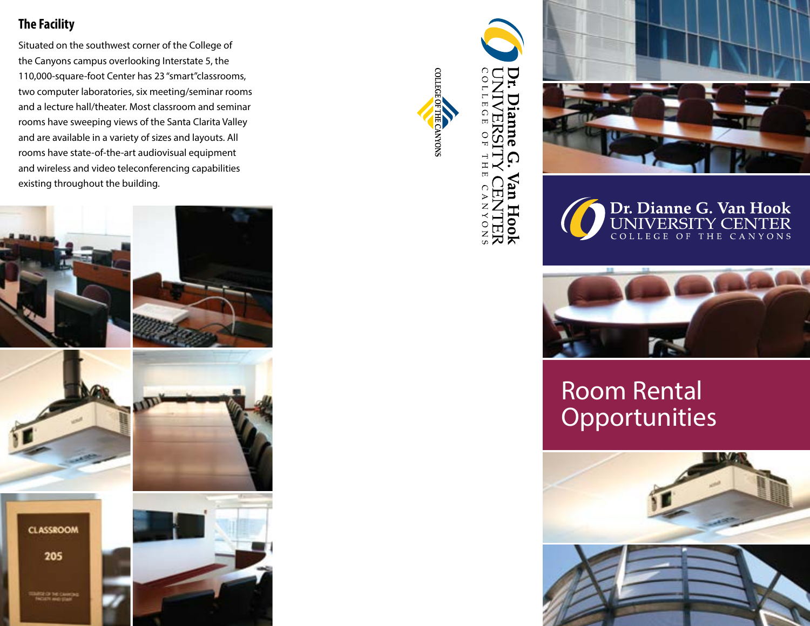## **The Facility**

Situated on the southwest corner of the College of the Canyons campus overlooking Interstate 5, the 110,000-square-foot Center has 23 "smart"classrooms, two computer laboratories, six meeting/seminar rooms and a lecture hall/theater. Most classroom and seminar rooms have sweeping views of the Santa Clarita Valley and are available in a variety of sizes and layouts. All rooms have state-of-the-art audiovisual equipment and wireless and video teleconferencing capabilities existing throughout the building.





COLLEGE OF THE CANYONS







## Room Rental **Opportunities**